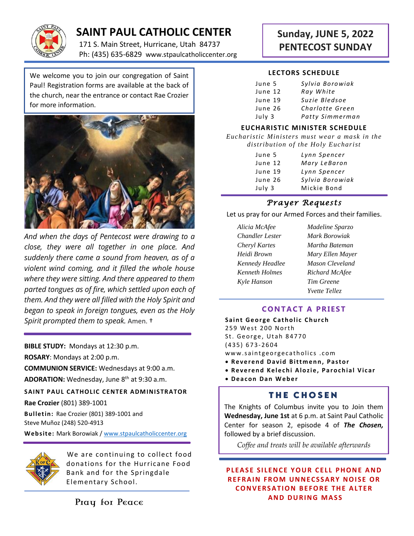

# **SAINT PAUL CATHOLIC CENTER**

171 S. Main Street, Hurricane, Utah 84737 Ph: (435) 635-6829 www.stpaulcatholiccenter.org

We welcome you to join our congregation of Saint Paul! Registration forms are available at the back of the church, near the entrance or contact Rae Crozier for more information.



*And when the days of Pentecost were drawing to a close, they were all together in one place. And suddenly there came a sound from heaven, as of a violent wind coming, and it filled the whole house where they were sitting. And there appeared to them parted tongues as of fire, which settled upon each of them. And they were all filled with the Holy Spirit and began to speak in foreign tongues, even as the Holy Spirit prompted them to speak.* Amen. †

**BIBLE STUDY:** Mondays at 12:30 p.m.

**ROSARY**: Mondays at 2:00 p.m.

**COMMUNION SERVICE:** Wednesdays at 9:00 a.m. ADORATION: Wednesday, June 8<sup>th</sup> at 9:30 a.m.

**SAINT PAUL CATHOLIC CENTER ADMINISTRATOR** 

**Rae Crozier** (801) 389-1001

**Bulletin:** Rae Crozier (801) 389-1001 and Steve Muñoz (248) 520-4913

**Web site:** Mark Borowiak [/ www.stpaulcatholiccenter.org](http://www.stpaulcatholiccenter.org/)



We are continuing to collect food donations for the Hurricane Food Bank and for the Springdale Elementary School.

Pray for Peace

# **Sunday, JUNE 5, 2022 PENTECOST SUNDAY**

#### **LECTORS SCHEDULE**

| June 5  | Sylvia Borowiak |
|---------|-----------------|
| June 12 | Ray White       |
| June 19 | Suzie Bledsoe   |
| June 26 | Charlotte Green |
| July 3  | Patty Simmerman |

#### **EUCHARISTIC MINISTER SCHEDULE**

*Eucharistic Ministers must wear a mask in the distribution of the Holy Eucharist*

| June 5  | Lynn Spencer    |
|---------|-----------------|
| June 12 | Mary LeBaron    |
| June 19 | Lynn Spencer    |
| June 26 | Sylvia Borowiak |
| July 3  | Mickie Bond     |

## *Prayer Requests*

Let us pray for our Armed Forces and their families.

- *Alicia McAfee Madeline Sparzo Chandler Lester Mark Borowiak Cheryl Kartes Martha Bateman Kenneth Holmes Richard McAfee Kyle Hanson Tim Greene*
- *Heidi Brown Mary Ellen Mayer Kennedy Headlee Mason Cleveland Yvette Tellez*

### **CONTACT A PRIEST**

**Saint George Catholic Church** 259 West 200 North St. George, Utah 84770 ( 4 3 5 ) 6 7 3- 2604 www.saintgeorgecatholics.com

- **Reverend David Bittmenn, Pastor**
- **Reverend Kelechi Alozie, Parochial Vicar**
- **D e a c o n D a n W e b e r**

## **THE CHOSEN**

The Knights of Columbus invite you to Join them **Wednesday, June 1st** at 6 p.m. at Saint Paul Catholic Center for season 2, episode 4 of *The Chosen,* followed by a brief discussion.

*Coffee and treats will be available afterwards*

**PLEASE SILENCE YOUR CELL PHONE AND REFRAIN FROM UNNECSSARY NOISE OR C O N V E R S A T I O N B E F O R E T H E A L T E R A N D D U R I N G M A S S**